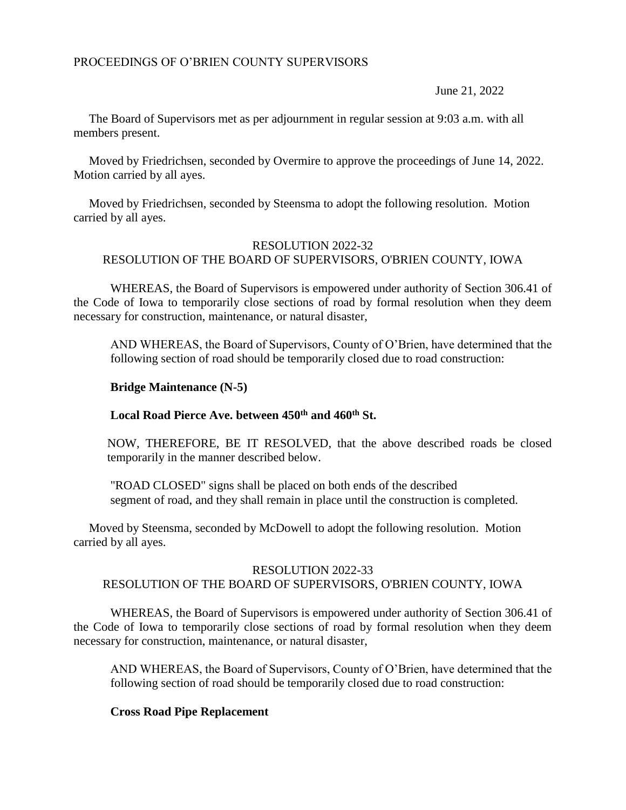# PROCEEDINGS OF O'BRIEN COUNTY SUPERVISORS

June 21, 2022

 The Board of Supervisors met as per adjournment in regular session at 9:03 a.m. with all members present.

 Moved by Friedrichsen, seconded by Overmire to approve the proceedings of June 14, 2022. Motion carried by all ayes.

 Moved by Friedrichsen, seconded by Steensma to adopt the following resolution. Motion carried by all ayes.

## RESOLUTION 2022-32 RESOLUTION OF THE BOARD OF SUPERVISORS, O'BRIEN COUNTY, IOWA

WHEREAS, the Board of Supervisors is empowered under authority of Section 306.41 of the Code of Iowa to temporarily close sections of road by formal resolution when they deem necessary for construction, maintenance, or natural disaster,

AND WHEREAS, the Board of Supervisors, County of O'Brien, have determined that the following section of road should be temporarily closed due to road construction:

## **Bridge Maintenance (N-5)**

# **Local Road Pierce Ave. between 450th and 460th St.**

NOW, THEREFORE, BE IT RESOLVED, that the above described roads be closed temporarily in the manner described below.

"ROAD CLOSED" signs shall be placed on both ends of the described segment of road, and they shall remain in place until the construction is completed.

 Moved by Steensma, seconded by McDowell to adopt the following resolution. Motion carried by all ayes.

# RESOLUTION 2022-33 RESOLUTION OF THE BOARD OF SUPERVISORS, O'BRIEN COUNTY, IOWA

WHEREAS, the Board of Supervisors is empowered under authority of Section 306.41 of the Code of Iowa to temporarily close sections of road by formal resolution when they deem necessary for construction, maintenance, or natural disaster,

AND WHEREAS, the Board of Supervisors, County of O'Brien, have determined that the following section of road should be temporarily closed due to road construction:

## **Cross Road Pipe Replacement**